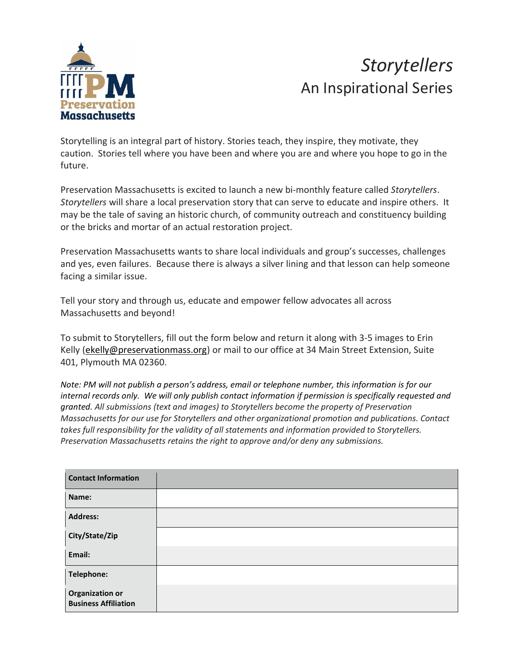

## *Storytellers* An Inspirational Series

Storytelling is an integral part of history. Stories teach, they inspire, they motivate, they caution. Stories tell where you have been and where you are and where you hope to go in the future.

Preservation Massachusetts is excited to launch a new bi-monthly feature called *Storytellers*. *Storytellers* will share a local preservation story that can serve to educate and inspire others. It may be the tale of saving an historic church, of community outreach and constituency building or the bricks and mortar of an actual restoration project.

Preservation Massachusetts wants to share local individuals and group's successes, challenges and yes, even failures. Because there is always a silver lining and that lesson can help someone facing a similar issue.

Tell your story and through us, educate and empower fellow advocates all across Massachusetts and beyond!

To submit to Storytellers, fill out the form below and return it along with 3-5 images to Erin Kelly [\(ekelly@preservationmass.org\)](mailto:ekelly@preservationmass.org) or mail to our office at 34 Main Street Extension, Suite 401, Plymouth MA 02360.

Note: PM will not publish a person's address, email or telephone number, this information is for our *internal records only. We will only publish contact information if permission is specifically requested and granted. All submissions (text and images) to Storytellers become the property of Preservation Massachusetts for our use for Storytellers and other organizational promotion and publications. Contact takes full responsibility for the validity of all statements and information provided to Storytellers. Preservation Massachusetts retains the right to approve and/or deny any submissions.*

| <b>Contact Information</b>                            |  |
|-------------------------------------------------------|--|
| Name:                                                 |  |
| <b>Address:</b>                                       |  |
| City/State/Zip                                        |  |
| Email:                                                |  |
| Telephone:                                            |  |
| <b>Organization or</b><br><b>Business Affiliation</b> |  |